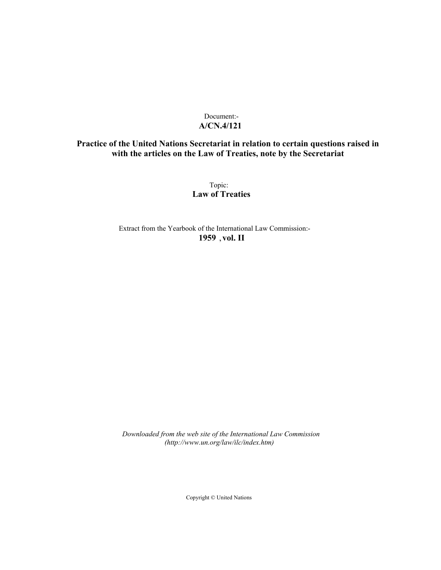# Document:- **A/CN.4/121**

# **Practice of the United Nations Secretariat in relation to certain questions raised in with the articles on the Law of Treaties, note by the Secretariat**

Topic: **Law of Treaties**

Extract from the Yearbook of the International Law Commission:- **1959** ,**vol. II**

*Downloaded from the web site of the International Law Commission (http://www.un.org/law/ilc/index.htm)*

Copyright © United Nations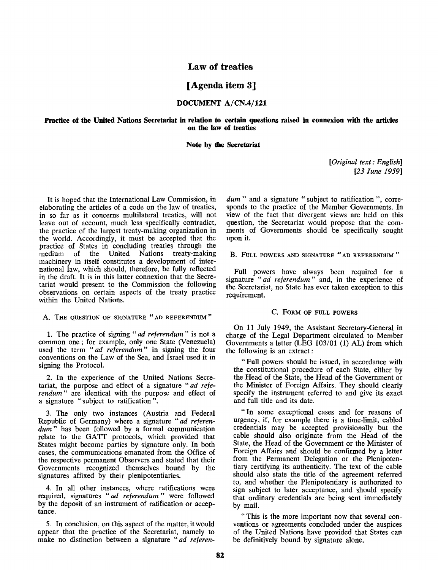# **Law of treaties**

# **[Agenda item 3]**

### **DOCUMENT A/CN.4/121**

#### **Practice of the United Nations Secretariat in relation to certain questions raised in connexion with the articles on the law of treaties**

#### **Note by the Secretariat**

*[Original text: English] [23 June 1959]*

It is hoped that the International Law Commission, in elaborating the articles of a code on the law of treaties, in so far as it concerns multilateral treaties, will not leave out of account, much less specifically contradict, the practice of the largest treaty-making organization in the world. Accordingly, it must be accepted that the practice of States in concluding treaties through the medium of the United Nations treaty-making machinery in itself constitutes a development of international law, which should, therefore, be fully reflected in the draft. It is in this latter connexion that the Secretariat would present to the Commission the following observations on certain aspects of the treaty practice within the United Nations.

### A. THE QUESTION OF SIGNATURE "AD REFERENDUM"

1. The practice of signing " *ad referendum* " is not **a** common one; for example, only one State (Venezuela) used the term "ad referendum" in signing the four conventions on the Law of the Sea, and Israel used it in signing the Protocol.

2. In the experience of the United Nations Secretariat, the purpose and effect of a signature *"ad referendum"* are identical with the purpose and effect of a signature " subject to ratification".

3. The only two instances (Austria and Federal Republic of Germany) where a signature *"ad referendum"* has been followed by a formal communication relate to the GATT protocols, which provided that States might become parties by signature only. In both cases, the communications emanated from the Office of the respective permanent Observers and stated that their Governments recognized themselves bound by the signatures affixed by their plenipotentiaries.

4. In all other instances, where ratifications were required, signatures " *ad referendum*" were followed by the deposit of an instrument of ratification or acceptance.

5. In conclusion, on this aspect of the matter, it would appear that the practice of the Secretariat, namely to make no distinction between a signature *"ad referen-* *dum* " and a signature " subject to ratification ", corresponds to the practice of the Member Governments. In view of the fact that divergent views are held on this question, the Secretariat would propose that the comments of Governments should be specifically sought upon it.

B. FULL POWERS AND SIGNATURE " AD REFERENDUM "

Full powers have always been required for a signature "ad referendum" and, in the experience of the Secretariat, no State has ever taken exception to this requirement.

### C. FORM OF FULL POWERS

On 11 July 1949, the Assistant Secretary-General in charge of the Legal Department circulated to Member Governments a letter (LEG 103/01 (1) AL) from which the following is an extract:

" Full powers should be issued, in accordance with the constitutional procedure of each State, either by the Head of the State, the Head of the Government or the Minister of Foreign Affairs. They should clearly specify the instrument referred to and give its exact and full title and its date.

"In some exceptional cases and for reasons of urgency, if, for example there is a time-limit, cabled credentials may be accepted provisionally but the cable should also originate from the Head of the State, the Head of the Government or the Minister of Foreign Affairs and should be confirmed by a letter from the Permanent Delegation or the Plenipotentiary certifying its authenticity. The text of the cable should also state the title of the agreement referred to, and whether the Plenipotentiary is authorized to sign subject to later acceptance, and should specify that ordinary credentials are being sent immediately by mail.

" This is the more important now that several conventions or agreements concluded under the auspices of the United Nations have provided that States can be definitively bound by signature alone.